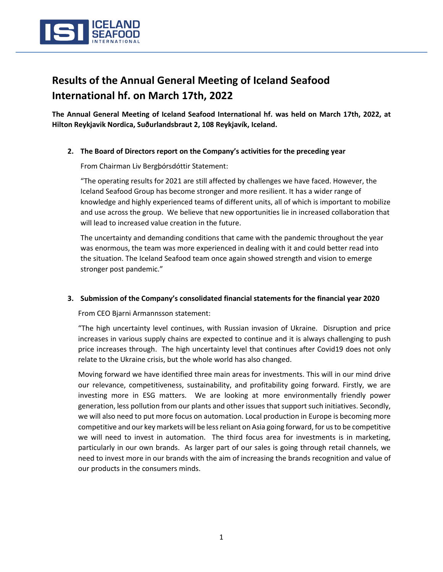

# **Results of the Annual General Meeting of Iceland Seafood International hf. on March 17th, 2022**

**The Annual General Meeting of Iceland Seafood International hf. was held on March 17th, 2022, at Hilton Reykjavik Nordica, Suðurlandsbraut 2, 108 Reykjavík, Iceland.** 

#### **2. The Board of Directors report on the Company's activities for the preceding year**

From Chairman Liv Bergþórsdóttir Statement:

"The operating results for 2021 are still affected by challenges we have faced. However, the Iceland Seafood Group has become stronger and more resilient. It has a wider range of knowledge and highly experienced teams of different units, all of which is important to mobilize and use across the group. We believe that new opportunities lie in increased collaboration that will lead to increased value creation in the future.

The uncertainty and demanding conditions that came with the pandemic throughout the year was enormous, the team was more experienced in dealing with it and could better read into the situation. The Iceland Seafood team once again showed strength and vision to emerge stronger post pandemic."

#### **3. Submission of the Company's consolidated financial statements for the financial year 2020**

From CEO Bjarni Armannsson statement:

"The high uncertainty level continues, with Russian invasion of Ukraine. Disruption and price increases in various supply chains are expected to continue and it is always challenging to push price increases through. The high uncertainty level that continues after Covid19 does not only relate to the Ukraine crisis, but the whole world has also changed.

Moving forward we have identified three main areas for investments. This will in our mind drive our relevance, competitiveness, sustainability, and profitability going forward. Firstly, we are investing more in ESG matters. We are looking at more environmentally friendly power generation, less pollution from our plants and other issues that support such initiatives. Secondly, we will also need to put more focus on automation. Local production in Europe is becoming more competitive and our key markets will be less reliant on Asia going forward, for us to be competitive we will need to invest in automation. The third focus area for investments is in marketing, particularly in our own brands. As larger part of our sales is going through retail channels, we need to invest more in our brands with the aim of increasing the brands recognition and value of our products in the consumers minds.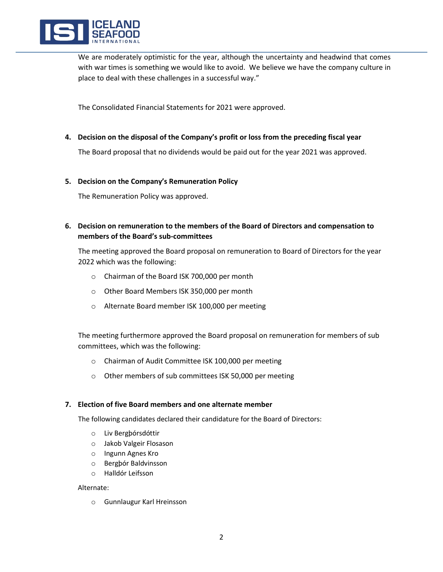

We are moderately optimistic for the year, although the uncertainty and headwind that comes with war times is something we would like to avoid. We believe we have the company culture in place to deal with these challenges in a successful way."

The Consolidated Financial Statements for 2021 were approved.

**4. Decision on the disposal of the Company's profit or loss from the preceding fiscal year**

The Board proposal that no dividends would be paid out for the year 2021 was approved.

#### **5. Decision on the Company's Remuneration Policy**

The Remuneration Policy was approved.

**6. Decision on remuneration to the members of the Board of Directors and compensation to members of the Board's sub-committees** 

The meeting approved the Board proposal on remuneration to Board of Directors for the year 2022 which was the following:

- o Chairman of the Board ISK 700,000 per month
- o Other Board Members ISK 350,000 per month
- o Alternate Board member ISK 100,000 per meeting

The meeting furthermore approved the Board proposal on remuneration for members of sub committees, which was the following:

- o Chairman of Audit Committee ISK 100,000 per meeting
- o Other members of sub committees ISK 50,000 per meeting

#### **7. Election of five Board members and one alternate member**

The following candidates declared their candidature for the Board of Directors:

- o Liv Bergþórsdóttir
- o Jakob Valgeir Flosason
- o Ingunn Agnes Kro
- o Bergþór Baldvinsson
- o Halldór Leifsson

#### Alternate:

o Gunnlaugur Karl Hreinsson